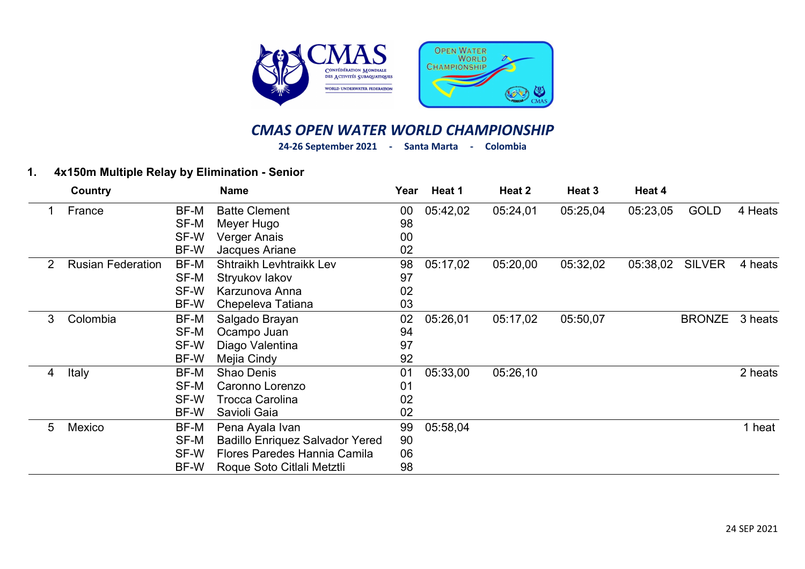

## CMAS OPEN WATER WORLD CHAMPIONSHIP

24-26 September 2021 - Santa Marta - Colombia

## 1. 4x150m Multiple Relay by Elimination - Senior

|   | Country                  |      | <b>Name</b>                            | Year | Heat 1   | Heat 2   | Heat 3   | Heat 4   |               |         |
|---|--------------------------|------|----------------------------------------|------|----------|----------|----------|----------|---------------|---------|
|   | France                   | BF-M | <b>Batte Clement</b>                   | 00   | 05:42,02 | 05:24,01 | 05:25,04 | 05:23,05 | <b>GOLD</b>   | 4 Heats |
|   |                          | SF-M | Meyer Hugo                             | 98   |          |          |          |          |               |         |
|   |                          | SF-W | Verger Anais                           | 00   |          |          |          |          |               |         |
|   |                          | BF-W | Jacques Ariane                         | 02   |          |          |          |          |               |         |
| 2 | <b>Rusian Federation</b> | BF-M | Shtraikh Levhtraikk Lev                | 98   | 05:17,02 | 05:20,00 | 05:32,02 | 05:38,02 | <b>SILVER</b> | 4 heats |
|   |                          | SF-M | Stryukov lakov                         | 97   |          |          |          |          |               |         |
|   |                          | SF-W | Karzunova Anna                         | 02   |          |          |          |          |               |         |
|   |                          | BF-W | Chepeleva Tatiana                      | 03   |          |          |          |          |               |         |
| 3 | Colombia                 | BF-M | Salgado Brayan                         | 02   | 05:26,01 | 05:17,02 | 05:50,07 |          | <b>BRONZE</b> | 3 heats |
|   |                          | SF-M | Ocampo Juan                            | 94   |          |          |          |          |               |         |
|   |                          | SF-W | Diago Valentina                        | 97   |          |          |          |          |               |         |
|   |                          | BF-W | Mejia Cindy                            | 92   |          |          |          |          |               |         |
| 4 | Italy                    | BF-M | Shao Denis                             | 01   | 05:33,00 | 05:26,10 |          |          |               | 2 heats |
|   |                          | SF-M | Caronno Lorenzo                        | 01   |          |          |          |          |               |         |
|   |                          | SF-W | <b>Trocca Carolina</b>                 | 02   |          |          |          |          |               |         |
|   |                          | BF-W | Savioli Gaia                           | 02   |          |          |          |          |               |         |
| 5 | Mexico                   | BF-M | Pena Ayala Ivan                        | 99   | 05:58,04 |          |          |          |               | 1 heat  |
|   |                          | SF-M | <b>Badillo Enriquez Salvador Yered</b> | 90   |          |          |          |          |               |         |
|   |                          | SF-W | Flores Paredes Hannia Camila           | 06   |          |          |          |          |               |         |
|   |                          | BF-W | Roque Soto Citlali Metztli             | 98   |          |          |          |          |               |         |